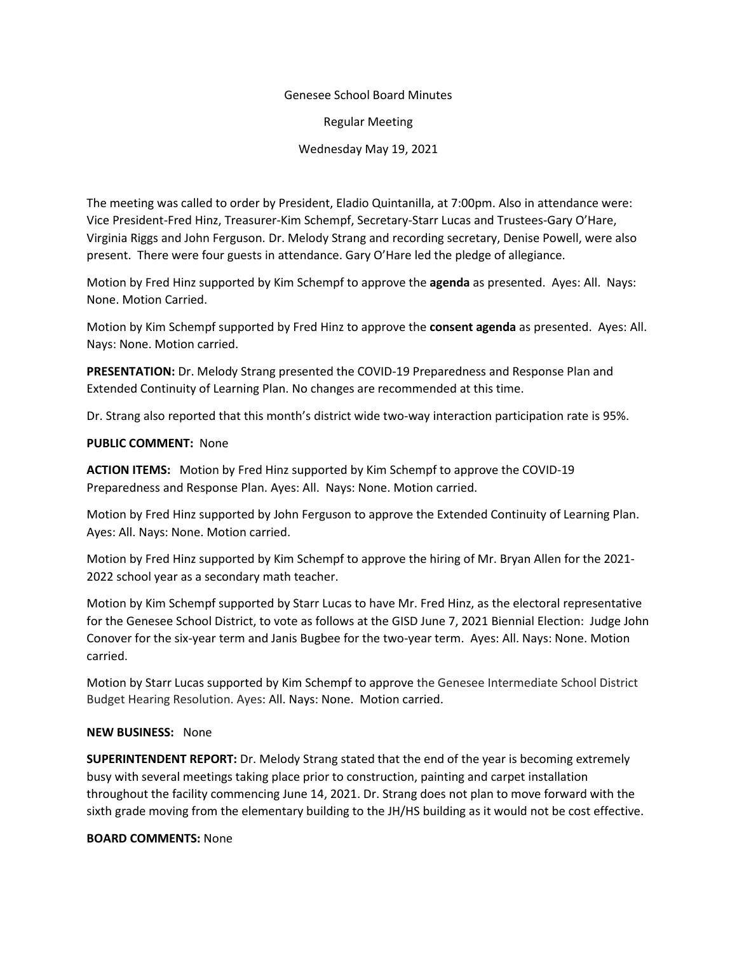## Genesee School Board Minutes

Regular Meeting

Wednesday May 19, 2021

The meeting was called to order by President, Eladio Quintanilla, at 7:00pm. Also in attendance were: Vice President-Fred Hinz, Treasurer-Kim Schempf, Secretary-Starr Lucas and Trustees-Gary O'Hare, Virginia Riggs and John Ferguson. Dr. Melody Strang and recording secretary, Denise Powell, were also present. There were four guests in attendance. Gary O'Hare led the pledge of allegiance.

Motion by Fred Hinz supported by Kim Schempf to approve the **agenda** as presented. Ayes: All. Nays: None. Motion Carried.

Motion by Kim Schempf supported by Fred Hinz to approve the **consent agenda** as presented. Ayes: All. Nays: None. Motion carried.

**PRESENTATION:** Dr. Melody Strang presented the COVID-19 Preparedness and Response Plan and Extended Continuity of Learning Plan. No changes are recommended at this time.

Dr. Strang also reported that this month's district wide two-way interaction participation rate is 95%.

## **PUBLIC COMMENT:** None

**ACTION ITEMS:** Motion by Fred Hinz supported by Kim Schempf to approve the COVID-19 Preparedness and Response Plan. Ayes: All. Nays: None. Motion carried.

Motion by Fred Hinz supported by John Ferguson to approve the Extended Continuity of Learning Plan. Ayes: All. Nays: None. Motion carried.

Motion by Fred Hinz supported by Kim Schempf to approve the hiring of Mr. Bryan Allen for the 2021- 2022 school year as a secondary math teacher.

Motion by Kim Schempf supported by Starr Lucas to have Mr. Fred Hinz, as the electoral representative for the Genesee School District, to vote as follows at the GISD June 7, 2021 Biennial Election: Judge John Conover for the six-year term and Janis Bugbee for the two-year term. Ayes: All. Nays: None. Motion carried.

Motion by Starr Lucas supported by Kim Schempf to approve the Genesee Intermediate School District Budget Hearing Resolution. Ayes: All. Nays: None. Motion carried.

## **NEW BUSINESS:** None

**SUPERINTENDENT REPORT:** Dr. Melody Strang stated that the end of the year is becoming extremely busy with several meetings taking place prior to construction, painting and carpet installation throughout the facility commencing June 14, 2021. Dr. Strang does not plan to move forward with the sixth grade moving from the elementary building to the JH/HS building as it would not be cost effective.

## **BOARD COMMENTS:** None